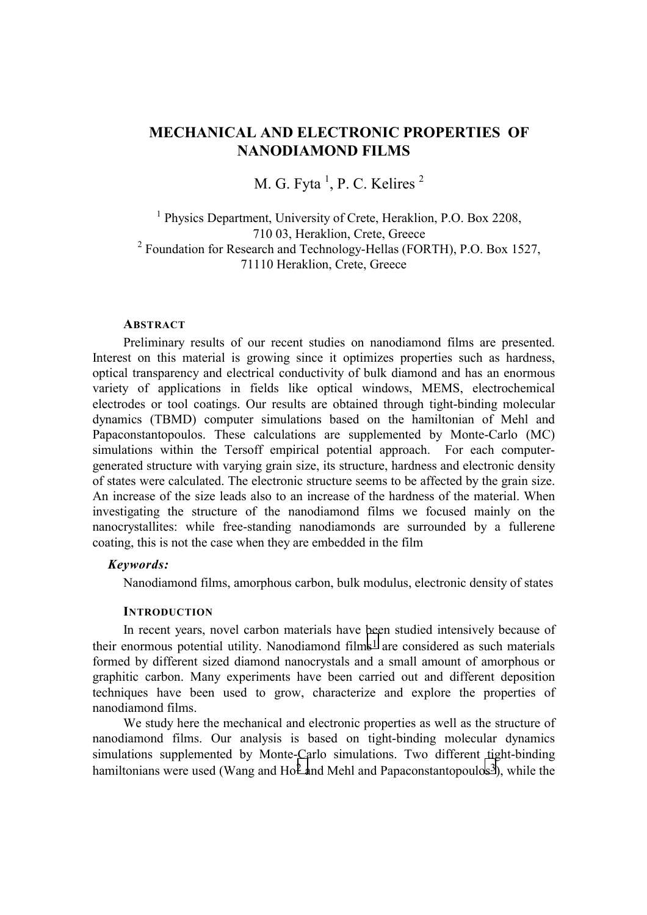# **MECHANICAL AND ELECTRONIC PROPERTIES OF NANODIAMOND FILMS**

M. G. Fyta  $<sup>1</sup>$ , P. C. Kelires  $<sup>2</sup>$ </sup></sup>

<sup>1</sup> Physics Department, University of Crete, Heraklion, P.O. Box 2208, 710 03, Heraklion, Crete, Greece <sup>2</sup> Foundation for Research and Technology-Hellas (FORTH), P.O. Box 1527, 71110 Heraklion, Crete, Greece

#### **ABSTRACT**

Preliminary results of our recent studies on nanodiamond films are presented. Interest on this material is growing since it optimizes properties such as hardness, optical transparency and electrical conductivity of bulk diamond and has an enormous variety of applications in fields like optical windows, MEMS, electrochemical electrodes or tool coatings. Our results are obtained through tight-binding molecular dynamics (TBMD) computer simulations based on the hamiltonian of Mehl and Papaconstantopoulos. These calculations are supplemented by Monte-Carlo (MC) simulations within the Tersoff empirical potential approach. For each computergenerated structure with varying grain size, its structure, hardness and electronic density of states were calculated. The electronic structure seems to be affected by the grain size. An increase of the size leads also to an increase of the hardness of the material. When investigating the structure of the nanodiamond films we focused mainly on the nanocrystallites: while free-standing nanodiamonds are surrounded by a fullerene coating, this is not the case when they are embedded in the film

# *Keywords:*

Nanodiamond films, amorphous carbon, bulk modulus, electronic density of states

## **INTRODUCTION**

In recent years, novel carbon materials have been studied intensively because of their enormous potential utility. Nanodiamond films<sup>1</sup> are considered as such materials formed by different sized diamond nanocrystals and a small amount of amorphous or graphitic carbon. Many experiments have been carried out and different deposition techniques have been used to grow, characterize and explore the properties of nanodiamond films.

We study here the mechanical and electronic properties as well as the structure of nanodiamond films. Our analysis is based on tight-binding molecular dynamics simulations supplemented by Monte-Carlo simulations. Two different tight-binding hamiltonians were used (Wang and  $Ho^2$  and Mehl and Papaconstantopoulos<sup>3</sup>), while the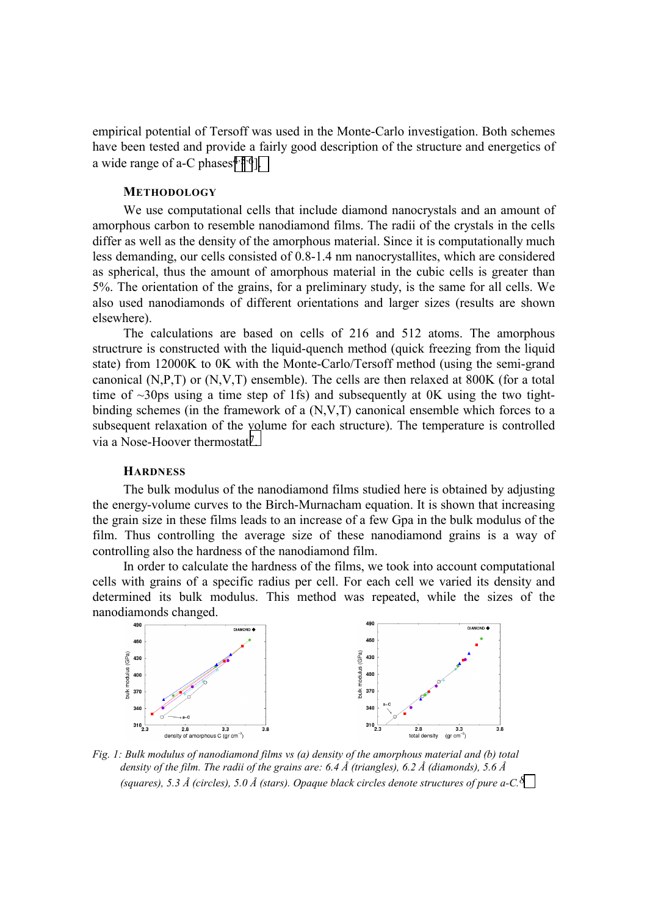empirical potential of Tersoff was used in the Monte-Carlo investigation. Both schemes have been tested and provide a fairly good description of the structure and energetics of a wide range of a-C phases<sup> $4.5.6$ </sup>].

# **METHODOLOGY**

We use computational cells that include diamond nanocrystals and an amount of amorphous carbon to resemble nanodiamond films. The radii of the crystals in the cells differ as well as the density of the amorphous material. Since it is computationally much less demanding, our cells consisted of 0.8-1.4 nm nanocrystallites, which are considered as spherical, thus the amount of amorphous material in the cubic cells is greater than 5%. The orientation of the grains, for a preliminary study, is the same for all cells. We also used nanodiamonds of different orientations and larger sizes (results are shown elsewhere).

The calculations are based on cells of 216 and 512 atoms. The amorphous structrure is constructed with the liquid-quench method (quick freezing from the liquid state) from 12000K to 0K with the Monte-Carlo/Tersoff method (using the semi-grand canonical (N,P,T) or (N,V,T) ensemble). The cells are then relaxed at 800K (for a total time of  $\sim$ 30ps using a time step of 1fs) and subsequently at 0K using the two tightbinding schemes (in the framework of a (N,V,T) canonical ensemble which forces to a subsequent relaxation of the volume for each structure). The temperature is controlled via a Nose-Hoover thermostat[7.](#page-3-0) 

# **HARDNESS**

The bulk modulus of the nanodiamond films studied here is obtained by adjusting the energy-volume curves to the Birch-Murnacham equation. It is shown that increasing the grain size in these films leads to an increase of a few Gpa in the bulk modulus of the film. Thus controlling the average size of these nanodiamond grains is a way of controlling also the hardness of the nanodiamond film.

In order to calculate the hardness of the films, we took into account computational cells with grains of a specific radius per cell. For each cell we varied its density and determined its bulk modulus. This method was repeated, while the sizes of the nanodiamonds changed.



*Fig. 1: Bulk modulus of nanodiamond films vs (a) density of the amorphous material and (b) total density of the film. The radii of the grains are: 6.4 Å (triangles), 6.2 Å (diamonds), 5.6 Å (squares), 5.3 Å (circles), 5.0 Å (stars). Opaque black circles denote structures of pure a-C.[8](#page-3-0)*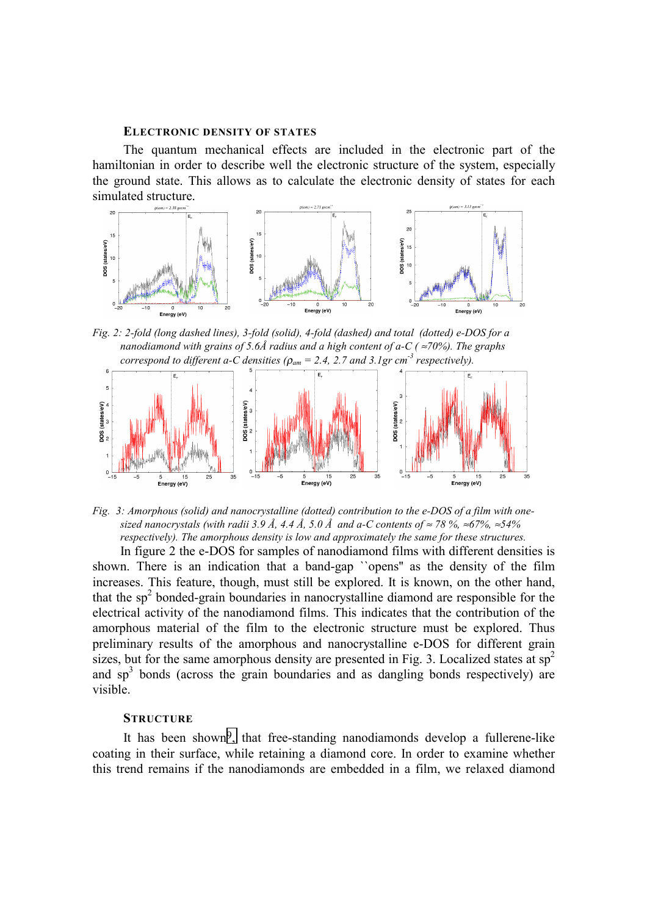#### **ELECTRONIC DENSITY OF STATES**

The quantum mechanical effects are included in the electronic part of the hamiltonian in order to describe well the electronic structure of the system, especially the ground state. This allows as to calculate the electronic density of states for each simulated structure.



*Fig. 2: 2-fold (long dashed lines), 3-fold (solid), 4-fold (dashed) and total (dotted) e-DOS for a nanodiamond with grains of 5.6Å radius and a high content of a-C ( ≈70%). The graphs correspond to different a-C densities (* $\rho_{am} = 2.4$ *, 2.7 and 3.1gr cm<sup>-3</sup> respectively).* 



*Fig. 3: Amorphous (solid) and nanocrystalline (dotted) contribution to the e-DOS of a film with onesized nanocrystals (with radii 3.9 Å, 4.4 Å, 5.0 Å and a-C contents of ≈ 78 %, ≈67%, ≈54% respectively). The amorphous density is low and approximately the same for these structures.* 

In figure 2 the e-DOS for samples of nanodiamond films with different densities is shown. There is an indication that a band-gap ``opens'' as the density of the film increases. This feature, though, must still be explored. It is known, on the other hand, that the  $sp<sup>2</sup>$  bonded-grain boundaries in nanocrystalline diamond are responsible for the electrical activity of the nanodiamond films. This indicates that the contribution of the amorphous material of the film to the electronic structure must be explored. Thus preliminary results of the amorphous and nanocrystalline e-DOS for different grain sizes, but for the same amorphous density are presented in Fig. 3. Localized states at  $sp^2$ and  $sp<sup>3</sup>$  bonds (across the grain boundaries and as dangling bonds respectively) are visible.

## **STRUCTURE**

It has been shown[9,](#page-3-0) that free-standing nanodiamonds develop a fullerene-like coating in their surface, while retaining a diamond core. In order to examine whether this trend remains if the nanodiamonds are embedded in a film, we relaxed diamond